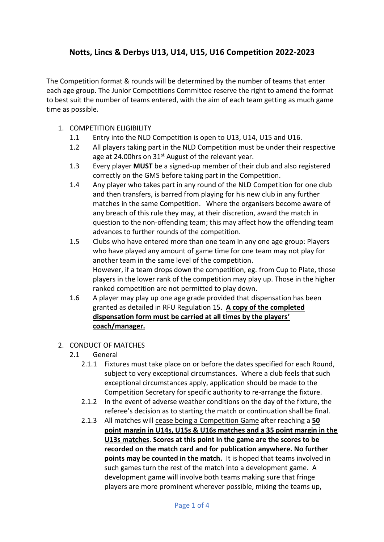# **Notts, Lincs & Derbys U13, U14, U15, U16 Competition 2022-2023**

The Competition format & rounds will be determined by the number of teams that enter each age group. The Junior Competitions Committee reserve the right to amend the format to best suit the number of teams entered, with the aim of each team getting as much game time as possible.

- 1. COMPETITION ELIGIBILITY
	- 1.1 Entry into the NLD Competition is open to U13, U14, U15 and U16.
	- 1.2 All players taking part in the NLD Competition must be under their respective age at 24.00 hrs on  $31<sup>st</sup>$  August of the relevant year.
	- 1.3 Every player **MUST** be a signed-up member of their club and also registered correctly on the GMS before taking part in the Competition.
	- 1.4 Any player who takes part in any round of the NLD Competition for one club and then transfers, is barred from playing for his new club in any further matches in the same Competition. Where the organisers become aware of any breach of this rule they may, at their discretion, award the match in question to the non-offending team; this may affect how the offending team advances to further rounds of the competition.
	- 1.5 Clubs who have entered more than one team in any one age group: Players who have played any amount of game time for one team may not play for another team in the same level of the competition. However, if a team drops down the competition, eg. from Cup to Plate, those players in the lower rank of the competition may play up. Those in the higher ranked competition are not permitted to play down.
	- 1.6 A player may play up one age grade provided that dispensation has been granted as detailed in RFU Regulation 15. **A copy of the completed dispensation form must be carried at all times by the players' coach/manager.**
- 2. CONDUCT OF MATCHES
	- 2.1 General
		- 2.1.1 Fixtures must take place on or before the dates specified for each Round, subject to very exceptional circumstances. Where a club feels that such exceptional circumstances apply, application should be made to the Competition Secretary for specific authority to re-arrange the fixture.
		- 2.1.2 In the event of adverse weather conditions on the day of the fixture, the referee's decision as to starting the match or continuation shall be final.
		- 2.1.3 All matches will cease being a Competition Game after reaching a **50 point margin in U14s, U15s & U16s matches and a 35 point margin in the U13s matches**. **Scores at this point in the game are the scores to be recorded on the match card and for publication anywhere. No further points may be counted in the match.** It is hoped that teams involved in such games turn the rest of the match into a development game. A development game will involve both teams making sure that fringe players are more prominent wherever possible, mixing the teams up,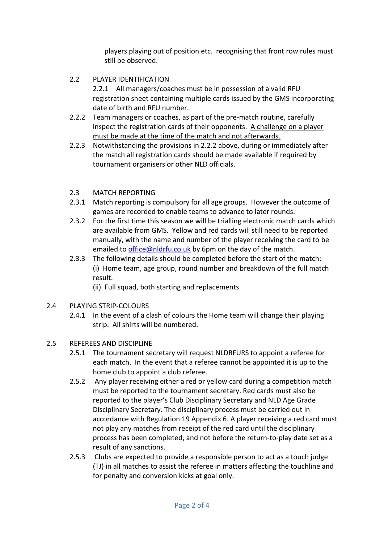players playing out of position etc. recognising that front row rules must still be observed.

2.2 PLAYER IDENTIFICATION

2.2.1 All managers/coaches must be in possession of a valid RFU registration sheet containing multiple cards issued by the GMS incorporating date of birth and RFU number.

- 2.2.2 Team managers or coaches, as part of the pre-match routine, carefully inspect the registration cards of their opponents. A challenge on a player must be made at the time of the match and not afterwards.
- 2.2.3 Notwithstanding the provisions in 2.2.2 above, during or immediately after the match all registration cards should be made available if required by tournament organisers or other NLD officials.

## 2.3 MATCH REPORTING

- 2.3.1 Match reporting is compulsory for all age groups. However the outcome of games are recorded to enable teams to advance to later rounds.
- 2.3.2 For the first time this season we will be trialling electronic match cards which are available from GMS. Yellow and red cards will still need to be reported manually, with the name and number of the player receiving the card to be emailed to *office@nldrfu.co.uk* by 6pm on the day of the match.
- 2.3.3 The following details should be completed before the start of the match: (i) Home team, age group, round number and breakdown of the full match result.
	- (ii) Full squad, both starting and replacements

## 2.4 PLAYING STRIP-COLOURS

2.4.1 In the event of a clash of colours the Home team will change their playing strip. All shirts will be numbered.

## 2.5 REFEREES AND DISCIPLINE

- 2.5.1 The tournament secretary will request NLDRFURS to appoint a referee for each match. In the event that a referee cannot be appointed it is up to the home club to appoint a club referee.
- 2.5.2 Any player receiving either a red or yellow card during a competition match must be reported to the tournament secretary. Red cards must also be reported to the player's Club Disciplinary Secretary and NLD Age Grade Disciplinary Secretary. The disciplinary process must be carried out in accordance with Regulation 19 Appendix 6. A player receiving a red card must not play any matches from receipt of the red card until the disciplinary process has been completed, and not before the return-to-play date set as a result of any sanctions.
- 2.5.3 Clubs are expected to provide a responsible person to act as a touch judge (TJ) in all matches to assist the referee in matters affecting the touchline and for penalty and conversion kicks at goal only.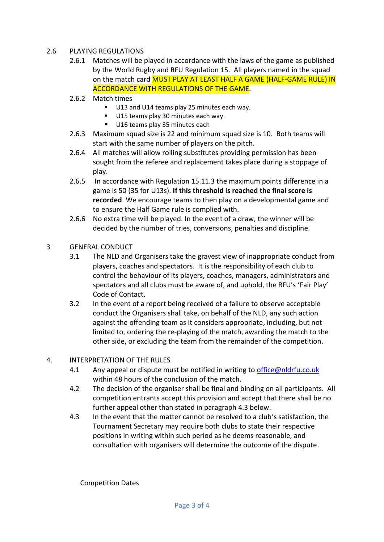#### 2.6 PLAYING REGULATIONS

- 2.6.1 Matches will be played in accordance with the laws of the game as published by the World Rugby and RFU Regulation 15. All players named in the squad on the match card MUST PLAY AT LEAST HALF A GAME (HALF-GAME RULE) IN ACCORDANCE WITH REGULATIONS OF THE GAME.
- 2.6.2 Match times
	- U13 and U14 teams play 25 minutes each way.
	- U15 teams play 30 minutes each way.
	- U16 teams play 35 minutes each
- 2.6.3 Maximum squad size is 22 and minimum squad size is 10. Both teams will start with the same number of players on the pitch.
- 2.6.4 All matches will allow rolling substitutes providing permission has been sought from the referee and replacement takes place during a stoppage of play.
- 2.6.5 In accordance with Regulation 15.11.3 the maximum points difference in a game is 50 (35 for U13s). **If this threshold is reached the final score is recorded**. We encourage teams to then play on a developmental game and to ensure the Half Game rule is complied with.
- 2.6.6 No extra time will be played. In the event of a draw, the winner will be decided by the number of tries, conversions, penalties and discipline.
- 3 GENERAL CONDUCT
	- 3.1 The NLD and Organisers take the gravest view of inappropriate conduct from players, coaches and spectators. It is the responsibility of each club to control the behaviour of its players, coaches, managers, administrators and spectators and all clubs must be aware of, and uphold, the RFU's 'Fair Play' Code of Contact.
	- 3.2 In the event of a report being received of a failure to observe acceptable conduct the Organisers shall take, on behalf of the NLD, any such action against the offending team as it considers appropriate, including, but not limited to, ordering the re-playing of the match, awarding the match to the other side, or excluding the team from the remainder of the competition.

#### 4. INTERPRETATION OF THE RULES

- 4.1 Any appeal or dispute must be notified in writing to [office@nldrfu.co.uk](mailto:office@nldrfu.co.uk) within 48 hours of the conclusion of the match.
- 4.2 The decision of the organiser shall be final and binding on all participants. All competition entrants accept this provision and accept that there shall be no further appeal other than stated in paragraph 4.3 below.
- 4.3 In the event that the matter cannot be resolved to a club's satisfaction, the Tournament Secretary may require both clubs to state their respective positions in writing within such period as he deems reasonable, and consultation with organisers will determine the outcome of the dispute.

Competition Dates